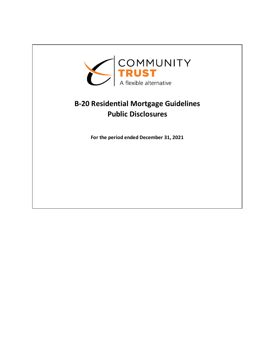

## **B-20 Residential Mortgage Guidelines Public Disclosures**

**For the period ended December 31, 2021**